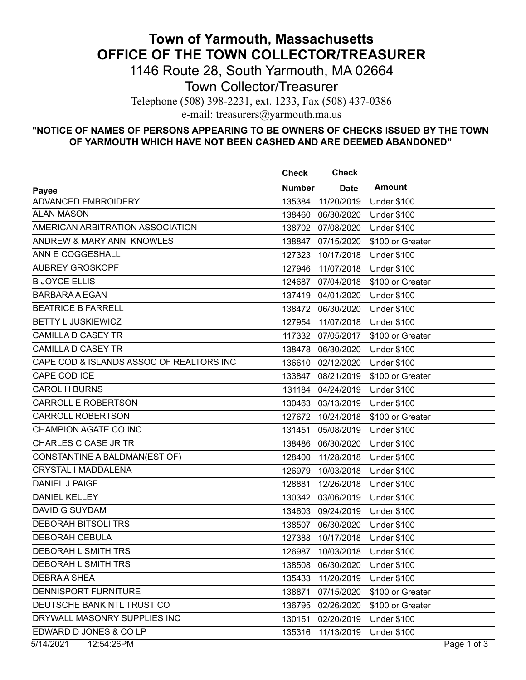## **Town of Yarmouth, Massachusetts OFFICE OF THE TOWN COLLECTOR/TREASURER**

1146 Route 28, South Yarmouth, MA 02664

Town Collector/Treasurer

Telephone (508) 398-2231, ext. 1233, Fax (508) 437-0386

e-mail: treasurers@yarmouth.ma.us

## **"NOTICE OF NAMES OF PERSONS APPEARING TO BE OWNERS OF CHECKS ISSUED BY THE TOWN OF YARMOUTH WHICH HAVE NOT BEEN CASHED AND ARE DEEMED ABANDONED"**

|                                          | <b>Check</b>  | <b>Check</b>                  |                    |             |
|------------------------------------------|---------------|-------------------------------|--------------------|-------------|
| Payee                                    | <b>Number</b> | <b>Date</b>                   | <b>Amount</b>      |             |
| <b>ADVANCED EMBROIDERY</b>               | 135384        | 11/20/2019                    | <b>Under \$100</b> |             |
| <b>ALAN MASON</b>                        | 138460        | 06/30/2020                    | <b>Under \$100</b> |             |
| AMERICAN ARBITRATION ASSOCIATION         |               | 138702 07/08/2020             | <b>Under \$100</b> |             |
| ANDREW & MARY ANN KNOWLES                |               | 138847 07/15/2020             | \$100 or Greater   |             |
| ANN E COGGESHALL                         | 127323        | 10/17/2018                    | <b>Under \$100</b> |             |
| <b>AUBREY GROSKOPF</b>                   | 127946        | 11/07/2018                    | <b>Under \$100</b> |             |
| <b>B JOYCE ELLIS</b>                     |               | 124687 07/04/2018             | \$100 or Greater   |             |
| <b>BARBARA A EGAN</b>                    |               | 137419 04/01/2020             | <b>Under \$100</b> |             |
| <b>BEATRICE B FARRELL</b>                |               | 138472 06/30/2020             | <b>Under \$100</b> |             |
| <b>BETTY L JUSKIEWICZ</b>                | 127954        | 11/07/2018                    | <b>Under \$100</b> |             |
| <b>CAMILLA D CASEY TR</b>                |               | 117332 07/05/2017             | \$100 or Greater   |             |
| <b>CAMILLA D CASEY TR</b>                | 138478        | 06/30/2020                    | <b>Under \$100</b> |             |
| CAPE COD & ISLANDS ASSOC OF REALTORS INC | 136610        | 02/12/2020                    | <b>Under \$100</b> |             |
| CAPE COD ICE                             |               | 133847 08/21/2019             | \$100 or Greater   |             |
| <b>CAROL H BURNS</b>                     |               | 131184 04/24/2019             | <b>Under \$100</b> |             |
| <b>CARROLL E ROBERTSON</b>               |               | 130463 03/13/2019             | <b>Under \$100</b> |             |
| <b>CARROLL ROBERTSON</b>                 | 127672        | 10/24/2018                    | \$100 or Greater   |             |
| CHAMPION AGATE CO INC                    | 131451        | 05/08/2019                    | <b>Under \$100</b> |             |
| CHARLES C CASE JR TR                     |               | 138486 06/30/2020             | <b>Under \$100</b> |             |
| CONSTANTINE A BALDMAN(EST OF)            | 128400        | 11/28/2018                    | <b>Under \$100</b> |             |
| CRYSTAL I MADDALENA                      | 126979        | 10/03/2018                    | <b>Under \$100</b> |             |
| DANIEL J PAIGE                           | 128881        | 12/26/2018                    | <b>Under \$100</b> |             |
| <b>DANIEL KELLEY</b>                     | 130342        | 03/06/2019                    | <b>Under \$100</b> |             |
| <b>DAVID G SUYDAM</b>                    |               | 134603 09/24/2019             | <b>Under \$100</b> |             |
| <b>DEBORAH BITSOLI TRS</b>               |               | 138507 06/30/2020             | <b>Under \$100</b> |             |
| <b>DEBORAH CEBULA</b>                    | 127388        | 10/17/2018                    | Under \$100        |             |
| DEBORAH L SMITH TRS                      |               | 126987 10/03/2018 Under \$100 |                    |             |
| DEBORAH L SMITH TRS                      | 138508        | 06/30/2020                    | <b>Under \$100</b> |             |
| <b>DEBRAA SHEA</b>                       | 135433        | 11/20/2019                    | <b>Under \$100</b> |             |
| DENNISPORT FURNITURE                     | 138871        | 07/15/2020                    | \$100 or Greater   |             |
| DEUTSCHE BANK NTL TRUST CO               | 136795        | 02/26/2020                    | \$100 or Greater   |             |
| DRYWALL MASONRY SUPPLIES INC             | 130151        | 02/20/2019                    | <b>Under \$100</b> |             |
| EDWARD D JONES & CO LP                   | 135316        | 11/13/2019                    | <b>Under \$100</b> |             |
| 5/14/2021<br>12:54:26PM                  |               |                               |                    | Page 1 of 3 |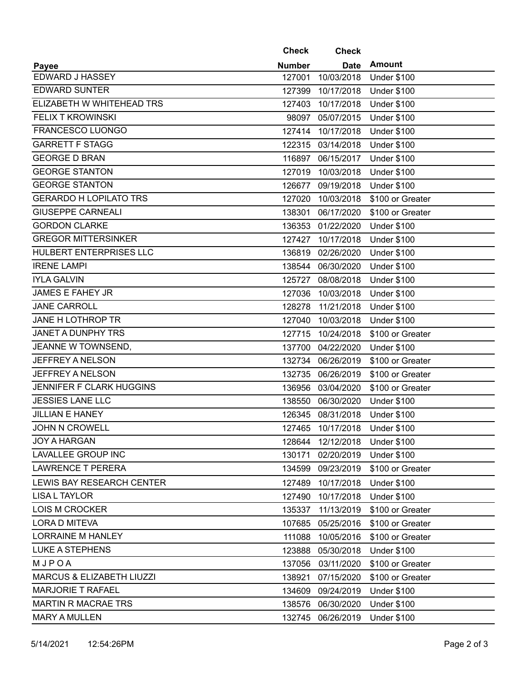|                                      | <b>Check</b>  | <b>Check</b>      |                    |
|--------------------------------------|---------------|-------------------|--------------------|
| <b>Payee</b>                         | <b>Number</b> | <b>Date</b>       | <b>Amount</b>      |
| EDWARD J HASSEY                      | 127001        | 10/03/2018        | <b>Under \$100</b> |
| <b>EDWARD SUNTER</b>                 | 127399        | 10/17/2018        | <b>Under \$100</b> |
| ELIZABETH W WHITEHEAD TRS            | 127403        | 10/17/2018        | <b>Under \$100</b> |
| <b>FELIX T KROWINSKI</b>             |               | 98097 05/07/2015  | <b>Under \$100</b> |
| FRANCESCO LUONGO                     | 127414        | 10/17/2018        | <b>Under \$100</b> |
| <b>GARRETT F STAGG</b>               | 122315        | 03/14/2018        | <b>Under \$100</b> |
| <b>GEORGE D BRAN</b>                 | 116897        | 06/15/2017        | <b>Under \$100</b> |
| <b>GEORGE STANTON</b>                | 127019        | 10/03/2018        | <b>Under \$100</b> |
| <b>GEORGE STANTON</b>                |               | 126677 09/19/2018 | <b>Under \$100</b> |
| <b>GERARDO H LOPILATO TRS</b>        | 127020        | 10/03/2018        | \$100 or Greater   |
| <b>GIUSEPPE CARNEALI</b>             | 138301        | 06/17/2020        | \$100 or Greater   |
| <b>GORDON CLARKE</b>                 |               | 136353 01/22/2020 | <b>Under \$100</b> |
| <b>GREGOR MITTERSINKER</b>           | 127427        | 10/17/2018        | <b>Under \$100</b> |
| HULBERT ENTERPRISES LLC              | 136819        | 02/26/2020        | <b>Under \$100</b> |
| <b>IRENE LAMPI</b>                   | 138544        | 06/30/2020        | <b>Under \$100</b> |
| <b>IYLA GALVIN</b>                   | 125727        | 08/08/2018        | <b>Under \$100</b> |
| <b>JAMES E FAHEY JR</b>              | 127036        | 10/03/2018        | <b>Under \$100</b> |
| <b>JANE CARROLL</b>                  | 128278        | 11/21/2018        | <b>Under \$100</b> |
| JANE H LOTHROP TR                    | 127040        | 10/03/2018        | <b>Under \$100</b> |
| JANET A DUNPHY TRS                   | 127715        | 10/24/2018        | \$100 or Greater   |
| JEANNE W TOWNSEND,                   | 137700        | 04/22/2020        | <b>Under \$100</b> |
| JEFFREY A NELSON                     |               | 132734 06/26/2019 | \$100 or Greater   |
| <b>JEFFREY A NELSON</b>              | 132735        | 06/26/2019        | \$100 or Greater   |
| <b>JENNIFER F CLARK HUGGINS</b>      | 136956        | 03/04/2020        | \$100 or Greater   |
| <b>JESSIES LANE LLC</b>              |               | 138550 06/30/2020 | <b>Under \$100</b> |
| JILLIAN E HANEY                      | 126345        | 08/31/2018        | <b>Under \$100</b> |
| <b>JOHN N CROWELL</b>                | 127465        | 10/17/2018        | <b>Under \$100</b> |
| <b>JOY A HARGAN</b>                  | 128644        | 12/12/2018        | <b>Under \$100</b> |
| <b>LAVALLEE GROUP INC</b>            | 130171        | 02/20/2019        | <b>Under \$100</b> |
| <b>LAWRENCE T PERERA</b>             | 134599        | 09/23/2019        | \$100 or Greater   |
| LEWIS BAY RESEARCH CENTER            | 127489        | 10/17/2018        | <b>Under \$100</b> |
| <b>LISA L TAYLOR</b>                 | 127490        | 10/17/2018        | <b>Under \$100</b> |
| <b>LOIS M CROCKER</b>                | 135337        | 11/13/2019        | \$100 or Greater   |
| LORA D MITEVA                        | 107685        | 05/25/2016        | \$100 or Greater   |
| <b>LORRAINE M HANLEY</b>             | 111088        | 10/05/2016        | \$100 or Greater   |
| <b>LUKE A STEPHENS</b>               | 123888        | 05/30/2018        | <b>Under \$100</b> |
| MJPOA                                | 137056        | 03/11/2020        | \$100 or Greater   |
| <b>MARCUS &amp; ELIZABETH LIUZZI</b> | 138921        | 07/15/2020        | \$100 or Greater   |
| <b>MARJORIE T RAFAEL</b>             | 134609        | 09/24/2019        | <b>Under \$100</b> |
| <b>MARTIN R MACRAE TRS</b>           | 138576        | 06/30/2020        | <b>Under \$100</b> |
| <b>MARY A MULLEN</b>                 | 132745        | 06/26/2019        | <b>Under \$100</b> |